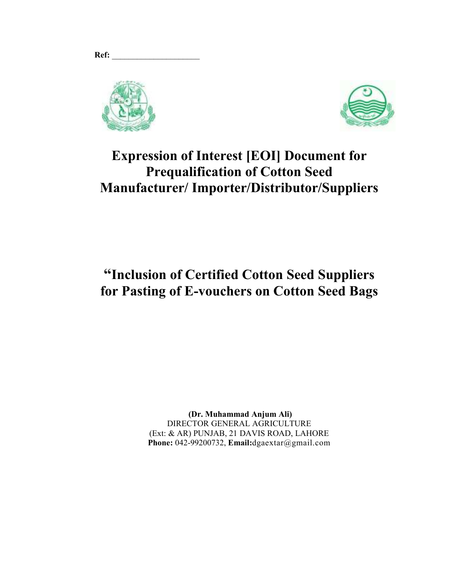



## **Expression of Interest [EOI] Document for Prequalification of Cotton Seed Manufacturer/ Importer/Distributor/Suppliers**

## **"Inclusion of Certified Cotton Seed Suppliers for Pasting of E-vouchers on Cotton Seed Bags**

 **(Dr. Muhammad Anjum Ali)**  DIRECTOR GENERAL AGRICULTURE (Ext: & AR) PUNJAB, 21 DAVIS ROAD, LAHORE **Phone:** 042-99200732, **Email:**dgaextar@gmail.com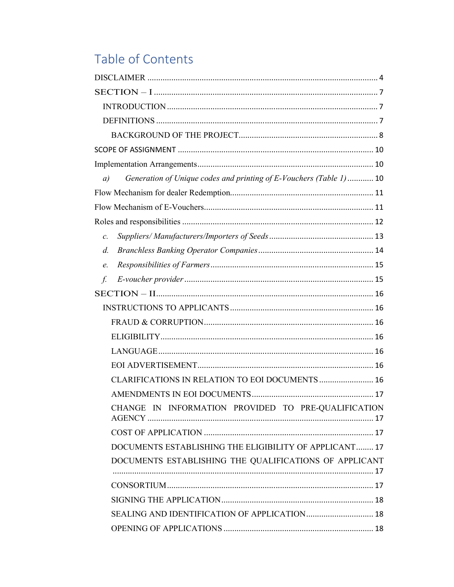# Table of Contents

| Generation of Unique codes and printing of E-Vouchers (Table 1)  10<br>a) |  |
|---------------------------------------------------------------------------|--|
|                                                                           |  |
|                                                                           |  |
|                                                                           |  |
| $\mathcal{C}$ .                                                           |  |
| $d$ .                                                                     |  |
| e.                                                                        |  |
| f.                                                                        |  |
|                                                                           |  |
|                                                                           |  |
|                                                                           |  |
|                                                                           |  |
|                                                                           |  |
|                                                                           |  |
| CLARIFICATIONS IN RELATION TO EOI DOCUMENTS  16                           |  |
|                                                                           |  |
| CHANGE IN INFORMATION PROVIDED TO PRE-QUALIFICATION                       |  |
|                                                                           |  |
| DOCUMENTS ESTABLISHING THE ELIGIBILITY OF APPLICANT 17                    |  |
| DOCUMENTS ESTABLISHING THE QUALIFICATIONS OF APPLICANT                    |  |
|                                                                           |  |
|                                                                           |  |
|                                                                           |  |
| SEALING AND IDENTIFICATION OF APPLICATION  18                             |  |
|                                                                           |  |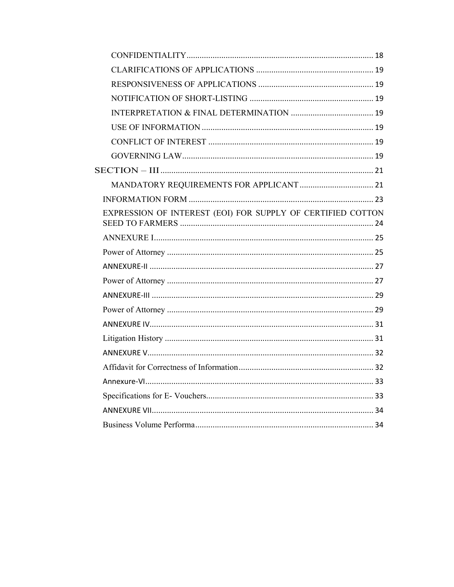| EXPRESSION OF INTEREST (EOI) FOR SUPPLY OF CERTIFIED COTTON |  |
|-------------------------------------------------------------|--|
|                                                             |  |
|                                                             |  |
|                                                             |  |
|                                                             |  |
|                                                             |  |
|                                                             |  |
|                                                             |  |
|                                                             |  |
|                                                             |  |
|                                                             |  |
|                                                             |  |
|                                                             |  |
|                                                             |  |
|                                                             |  |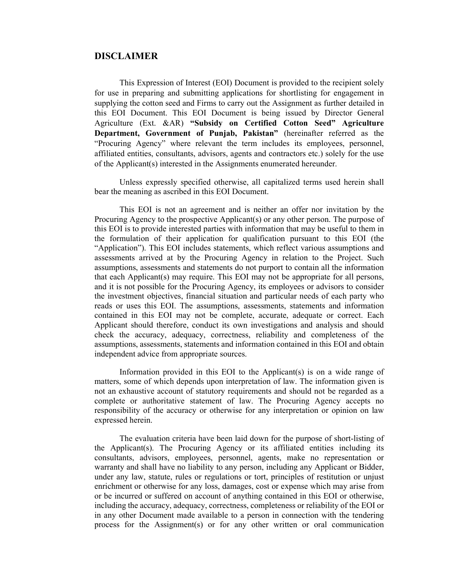#### **DISCLAIMER**

This Expression of Interest (EOI) Document is provided to the recipient solely for use in preparing and submitting applications for shortlisting for engagement in supplying the cotton seed and Firms to carry out the Assignment as further detailed in this EOI Document. This EOI Document is being issued by Director General Agriculture (Ext. &AR) **"Subsidy on Certified Cotton Seed" Agriculture Department, Government of Punjab, Pakistan"** (hereinafter referred as the "Procuring Agency" where relevant the term includes its employees, personnel, affiliated entities, consultants, advisors, agents and contractors etc.) solely for the use of the Applicant(s) interested in the Assignments enumerated hereunder.

Unless expressly specified otherwise, all capitalized terms used herein shall bear the meaning as ascribed in this EOI Document.

This EOI is not an agreement and is neither an offer nor invitation by the Procuring Agency to the prospective Applicant(s) or any other person. The purpose of this EOI is to provide interested parties with information that may be useful to them in the formulation of their application for qualification pursuant to this EOI (the "Application"). This EOI includes statements, which reflect various assumptions and assessments arrived at by the Procuring Agency in relation to the Project. Such assumptions, assessments and statements do not purport to contain all the information that each Applicant(s) may require. This EOI may not be appropriate for all persons, and it is not possible for the Procuring Agency, its employees or advisors to consider the investment objectives, financial situation and particular needs of each party who reads or uses this EOI. The assumptions, assessments, statements and information contained in this EOI may not be complete, accurate, adequate or correct. Each Applicant should therefore, conduct its own investigations and analysis and should check the accuracy, adequacy, correctness, reliability and completeness of the assumptions, assessments, statements and information contained in this EOI and obtain independent advice from appropriate sources.

Information provided in this EOI to the Applicant(s) is on a wide range of matters, some of which depends upon interpretation of law. The information given is not an exhaustive account of statutory requirements and should not be regarded as a complete or authoritative statement of law. The Procuring Agency accepts no responsibility of the accuracy or otherwise for any interpretation or opinion on law expressed herein.

The evaluation criteria have been laid down for the purpose of short-listing of the Applicant(s). The Procuring Agency or its affiliated entities including its consultants, advisors, employees, personnel, agents, make no representation or warranty and shall have no liability to any person, including any Applicant or Bidder, under any law, statute, rules or regulations or tort, principles of restitution or unjust enrichment or otherwise for any loss, damages, cost or expense which may arise from or be incurred or suffered on account of anything contained in this EOI or otherwise, including the accuracy, adequacy, correctness, completeness or reliability of the EOI or in any other Document made available to a person in connection with the tendering process for the Assignment(s) or for any other written or oral communication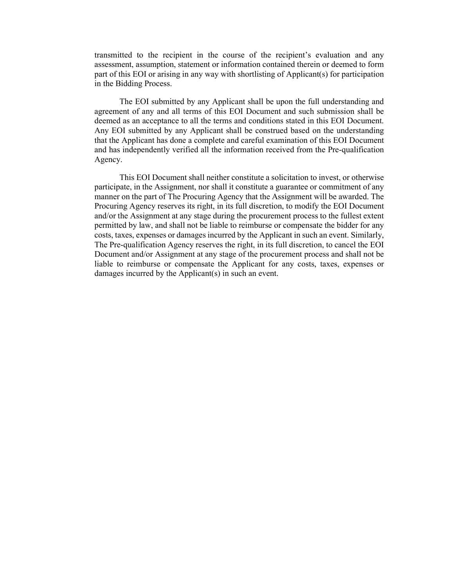transmitted to the recipient in the course of the recipient's evaluation and any assessment, assumption, statement or information contained therein or deemed to form part of this EOI or arising in any way with shortlisting of Applicant(s) for participation in the Bidding Process.

The EOI submitted by any Applicant shall be upon the full understanding and agreement of any and all terms of this EOI Document and such submission shall be deemed as an acceptance to all the terms and conditions stated in this EOI Document. Any EOI submitted by any Applicant shall be construed based on the understanding that the Applicant has done a complete and careful examination of this EOI Document and has independently verified all the information received from the Pre-qualification Agency.

This EOI Document shall neither constitute a solicitation to invest, or otherwise participate, in the Assignment, nor shall it constitute a guarantee or commitment of any manner on the part of The Procuring Agency that the Assignment will be awarded. The Procuring Agency reserves its right, in its full discretion, to modify the EOI Document and/or the Assignment at any stage during the procurement process to the fullest extent permitted by law, and shall not be liable to reimburse or compensate the bidder for any costs, taxes, expenses or damages incurred by the Applicant in such an event. Similarly, The Pre-qualification Agency reserves the right, in its full discretion, to cancel the EOI Document and/or Assignment at any stage of the procurement process and shall not be liable to reimburse or compensate the Applicant for any costs, taxes, expenses or damages incurred by the Applicant(s) in such an event.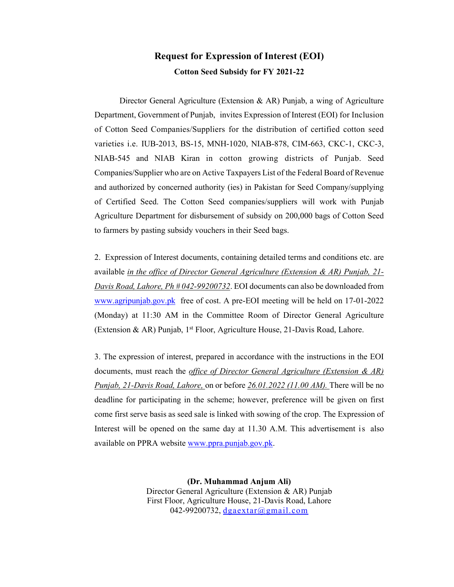### **Request for Expression of Interest (EOI) Cotton Seed Subsidy for FY 2021-22**

Director General Agriculture (Extension  $\&$  AR) Punjab, a wing of Agriculture Department, Government of Punjab, invites Expression of Interest (EOI) for Inclusion of Cotton Seed Companies/Suppliers for the distribution of certified cotton seed varieties i.e. IUB-2013, BS-15, MNH-1020, NIAB-878, CIM-663, CKC-1, CKC-3, NIAB-545 and NIAB Kiran in cotton growing districts of Punjab. Seed Companies/Supplier who are on Active Taxpayers List of the Federal Board of Revenue and authorized by concerned authority (ies) in Pakistan for Seed Company/supplying of Certified Seed. The Cotton Seed companies/suppliers will work with Punjab Agriculture Department for disbursement of subsidy on 200,000 bags of Cotton Seed to farmers by pasting subsidy vouchers in their Seed bags.

2. Expression of Interest documents, containing detailed terms and conditions etc. are available *in the office of Director General Agriculture (Extension & AR) Punjab, 21- Davis Road, Lahore, Ph # 042-99200732*. EOI documents can also be downloaded from www.agripunjab.gov.pk free of cost. A pre-EOI meeting will be held on 17-01-2022 (Monday) at 11:30 AM in the Committee Room of Director General Agriculture (Extension & AR) Punjab,  $1<sup>st</sup>$  Floor, Agriculture House, 21-Davis Road, Lahore.

3. The expression of interest, prepared in accordance with the instructions in the EOI documents, must reach the *office of Director General Agriculture (Extension & AR) Punjab, 21-Davis Road, Lahore,* on or before *26.01.2022 (11.00 AM).* There will be no deadline for participating in the scheme; however, preference will be given on first come first serve basis as seed sale is linked with sowing of the crop. The Expression of Interest will be opened on the same day at 11.30 A.M. This advertisement is also available on PPRA website www.ppra.punjab.gov.pk.

> **(Dr. Muhammad Anjum Ali)**  Director General Agriculture (Extension & AR) Punjab First Floor, Agriculture House, 21-Davis Road, Lahore 042-99200732, dgaextar@gmail.com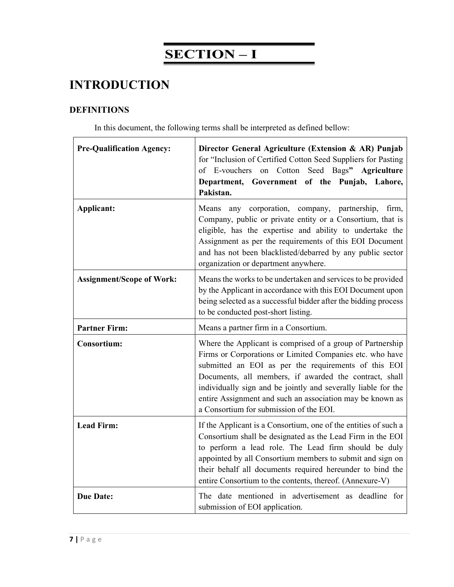## **SECTION – I**

## **INTRODUCTION**

### **DEFINITIONS**

In this document, the following terms shall be interpreted as defined bellow:

| <b>Pre-Qualification Agency:</b> | Director General Agriculture (Extension & AR) Punjab<br>for "Inclusion of Certified Cotton Seed Suppliers for Pasting<br>of E-vouchers on Cotton Seed Bags" Agriculture<br>Department, Government of the Punjab, Lahore,<br>Pakistan.                                                                                                                                                                             |
|----------------------------------|-------------------------------------------------------------------------------------------------------------------------------------------------------------------------------------------------------------------------------------------------------------------------------------------------------------------------------------------------------------------------------------------------------------------|
| Applicant:                       | Means any corporation, company, partnership,<br>firm,<br>Company, public or private entity or a Consortium, that is<br>eligible, has the expertise and ability to undertake the<br>Assignment as per the requirements of this EOI Document<br>and has not been blacklisted/debarred by any public sector<br>organization or department anywhere.                                                                  |
| <b>Assignment/Scope of Work:</b> | Means the works to be undertaken and services to be provided<br>by the Applicant in accordance with this EOI Document upon<br>being selected as a successful bidder after the bidding process<br>to be conducted post-short listing.                                                                                                                                                                              |
| <b>Partner Firm:</b>             | Means a partner firm in a Consortium.                                                                                                                                                                                                                                                                                                                                                                             |
| <b>Consortium:</b>               | Where the Applicant is comprised of a group of Partnership<br>Firms or Corporations or Limited Companies etc. who have<br>submitted an EOI as per the requirements of this EOI<br>Documents, all members, if awarded the contract, shall<br>individually sign and be jointly and severally liable for the<br>entire Assignment and such an association may be known as<br>a Consortium for submission of the EOI. |
| <b>Lead Firm:</b>                | If the Applicant is a Consortium, one of the entities of such a<br>Consortium shall be designated as the Lead Firm in the EOI<br>to perform a lead role. The Lead firm should be duly<br>appointed by all Consortium members to submit and sign on<br>their behalf all documents required hereunder to bind the<br>entire Consortium to the contents, thereof. (Annexure-V)                                       |
| <b>Due Date:</b>                 | The date mentioned in advertisement as deadline for<br>submission of EOI application.                                                                                                                                                                                                                                                                                                                             |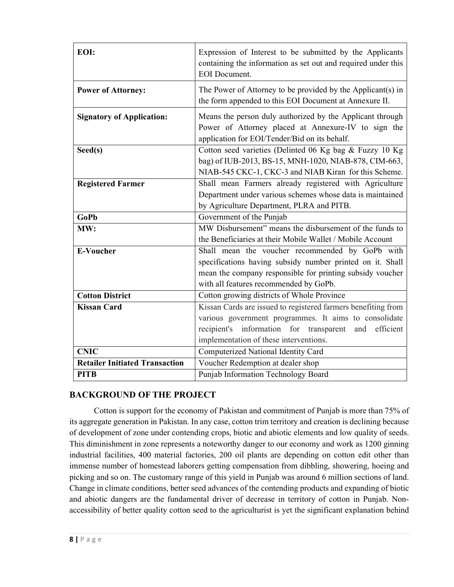| EOI:                                  | Expression of Interest to be submitted by the Applicants<br>containing the information as set out and required under this<br><b>EOI</b> Document.                                                                               |  |  |  |  |
|---------------------------------------|---------------------------------------------------------------------------------------------------------------------------------------------------------------------------------------------------------------------------------|--|--|--|--|
| <b>Power of Attorney:</b>             | The Power of Attorney to be provided by the Applicant(s) in<br>the form appended to this EOI Document at Annexure II.                                                                                                           |  |  |  |  |
| <b>Signatory of Application:</b>      | Means the person duly authorized by the Applicant through<br>Power of Attorney placed at Annexure-IV to sign the<br>application for EOI/Tender/Bid on its behalf.                                                               |  |  |  |  |
| Seed(s)                               | Cotton seed varieties (Delinted 06 Kg bag & Fuzzy 10 Kg<br>bag) of IUB-2013, BS-15, MNH-1020, NIAB-878, CIM-663,<br>NIAB-545 CKC-1, CKC-3 and NIAB Kiran for this Scheme.                                                       |  |  |  |  |
| <b>Registered Farmer</b>              | Shall mean Farmers already registered with Agriculture<br>Department under various schemes whose data is maintained<br>by Agriculture Department, PLRA and PITB.                                                                |  |  |  |  |
| <b>GoPb</b>                           | Government of the Punjab                                                                                                                                                                                                        |  |  |  |  |
| MW:                                   | MW Disbursement" means the disbursement of the funds to<br>the Beneficiaries at their Mobile Wallet / Mobile Account                                                                                                            |  |  |  |  |
|                                       | Shall mean the voucher recommended by GoPb with<br>specifications having subsidy number printed on it. Shall<br>mean the company responsible for printing subsidy voucher                                                       |  |  |  |  |
| <b>E-Voucher</b>                      | with all features recommended by GoPb.                                                                                                                                                                                          |  |  |  |  |
| <b>Cotton District</b>                | Cotton growing districts of Whole Province                                                                                                                                                                                      |  |  |  |  |
| <b>Kissan Card</b>                    | Kissan Cards are issued to registered farmers benefiting from<br>various government programmes. It aims to consolidate<br>recipient's information for transparent<br>efficient<br>and<br>implementation of these interventions. |  |  |  |  |
| <b>CNIC</b>                           | Computerized National Identity Card                                                                                                                                                                                             |  |  |  |  |
| <b>Retailer Initiated Transaction</b> | Voucher Redemption at dealer shop                                                                                                                                                                                               |  |  |  |  |

#### **BACKGROUND OF THE PROJECT**

Cotton is support for the economy of Pakistan and commitment of Punjab is more than 75% of its aggregate generation in Pakistan. In any case, cotton trim territory and creation is declining because of development of zone under contending crops, biotic and abiotic elements and low quality of seeds. This diminishment in zone represents a noteworthy danger to our economy and work as 1200 ginning industrial facilities, 400 material factories, 200 oil plants are depending on cotton edit other than immense number of homestead laborers getting compensation from dibbling, showering, hoeing and picking and so on. The customary range of this yield in Punjab was around 6 million sections of land. Change in climate conditions, better seed advances of the contending products and expanding of biotic and abiotic dangers are the fundamental driver of decrease in territory of cotton in Punjab. Nonaccessibility of better quality cotton seed to the agriculturist is yet the significant explanation behind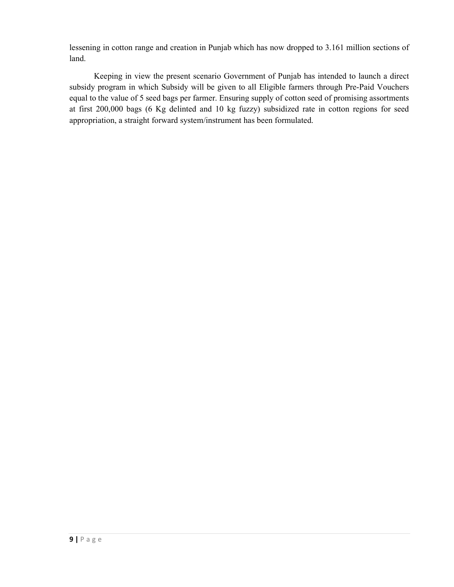lessening in cotton range and creation in Punjab which has now dropped to 3.161 million sections of land.

Keeping in view the present scenario Government of Punjab has intended to launch a direct subsidy program in which Subsidy will be given to all Eligible farmers through Pre-Paid Vouchers equal to the value of 5 seed bags per farmer. Ensuring supply of cotton seed of promising assortments at first 200,000 bags (6 Kg delinted and 10 kg fuzzy) subsidized rate in cotton regions for seed appropriation, a straight forward system/instrument has been formulated.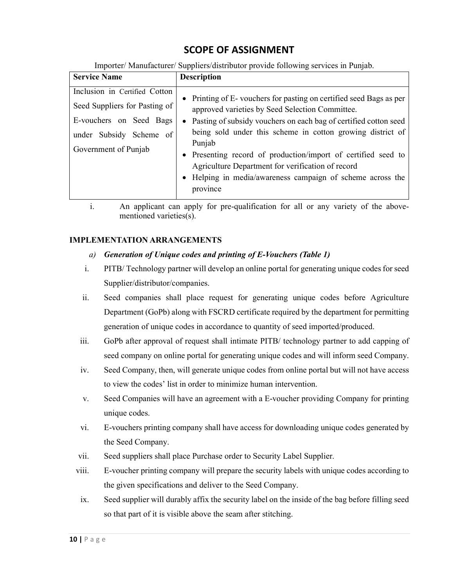## **SCOPE OF ASSIGNMENT**

Importer/ Manufacturer/ Suppliers/distributor provide following services in Punjab.

| Inclusion in Certified Cotton<br>Seed Suppliers for Pasting of<br>approved varieties by Seed Selection Committee.          | <b>Service Name</b>     | <b>Description</b>                                                                                                                                                                                                                                                                                                                    |
|----------------------------------------------------------------------------------------------------------------------------|-------------------------|---------------------------------------------------------------------------------------------------------------------------------------------------------------------------------------------------------------------------------------------------------------------------------------------------------------------------------------|
| under Subsidy Scheme of<br>Punjab<br>Government of Punjab<br>Agriculture Department for verification of record<br>province | E-vouchers on Seed Bags | • Printing of E-vouchers for pasting on certified seed Bags as per<br>• Pasting of subsidy vouchers on each bag of certified cotton seed<br>being sold under this scheme in cotton growing district of<br>• Presenting record of production/import of certified seed to<br>• Helping in media/awareness campaign of scheme across the |

i. An applicant can apply for pre-qualification for all or any variety of the abovementioned varieties(s).

#### **IMPLEMENTATION ARRANGEMENTS**

#### *a) Generation of Unique codes and printing of E-Vouchers (Table 1)*

- i. PITB/ Technology partner will develop an online portal for generating unique codes for seed Supplier/distributor/companies.
- ii. Seed companies shall place request for generating unique codes before Agriculture Department (GoPb) along with FSCRD certificate required by the department for permitting generation of unique codes in accordance to quantity of seed imported/produced.
- iii. GoPb after approval of request shall intimate PITB/ technology partner to add capping of seed company on online portal for generating unique codes and will inform seed Company.
- iv. Seed Company, then, will generate unique codes from online portal but will not have access to view the codes' list in order to minimize human intervention.
- v. Seed Companies will have an agreement with a E-voucher providing Company for printing unique codes.
- vi. E-vouchers printing company shall have access for downloading unique codes generated by the Seed Company.
- vii. Seed suppliers shall place Purchase order to Security Label Supplier.
- viii. E-voucher printing company will prepare the security labels with unique codes according to the given specifications and deliver to the Seed Company.
- ix. Seed supplier will durably affix the security label on the inside of the bag before filling seed so that part of it is visible above the seam after stitching.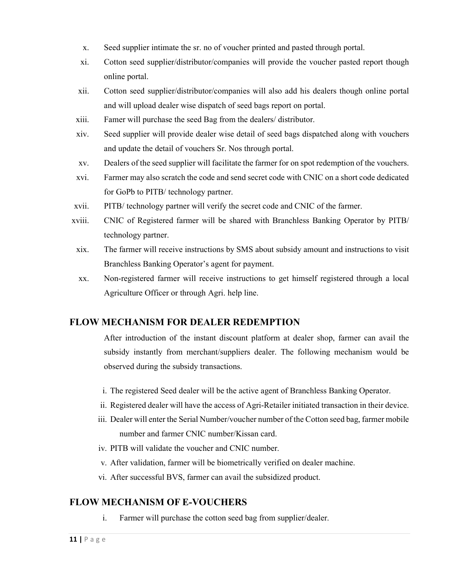- x. Seed supplier intimate the sr. no of voucher printed and pasted through portal.
- xi. Cotton seed supplier/distributor/companies will provide the voucher pasted report though online portal.
- xii. Cotton seed supplier/distributor/companies will also add his dealers though online portal and will upload dealer wise dispatch of seed bags report on portal.
- xiii. Famer will purchase the seed Bag from the dealers/ distributor.
- xiv. Seed supplier will provide dealer wise detail of seed bags dispatched along with vouchers and update the detail of vouchers Sr. Nos through portal.
- xv. Dealers of the seed supplier will facilitate the farmer for on spot redemption of the vouchers.
- xvi. Farmer may also scratch the code and send secret code with CNIC on a short code dedicated for GoPb to PITB/ technology partner.
- xvii. PITB/ technology partner will verify the secret code and CNIC of the farmer.
- xviii. CNIC of Registered farmer will be shared with Branchless Banking Operator by PITB/ technology partner.
- xix. The farmer will receive instructions by SMS about subsidy amount and instructions to visit Branchless Banking Operator's agent for payment.
- xx. Non-registered farmer will receive instructions to get himself registered through a local Agriculture Officer or through Agri. help line.

#### **FLOW MECHANISM FOR DEALER REDEMPTION**

After introduction of the instant discount platform at dealer shop, farmer can avail the subsidy instantly from merchant/suppliers dealer. The following mechanism would be observed during the subsidy transactions.

- i. The registered Seed dealer will be the active agent of Branchless Banking Operator.
- ii. Registered dealer will have the access of Agri-Retailer initiated transaction in their device.
- iii. Dealer will enter the Serial Number/voucher number of the Cotton seed bag, farmer mobile number and farmer CNIC number/Kissan card.
- iv. PITB will validate the voucher and CNIC number.
- v. After validation, farmer will be biometrically verified on dealer machine.
- vi. After successful BVS, farmer can avail the subsidized product.

#### **FLOW MECHANISM OF E-VOUCHERS**

i. Farmer will purchase the cotton seed bag from supplier/dealer.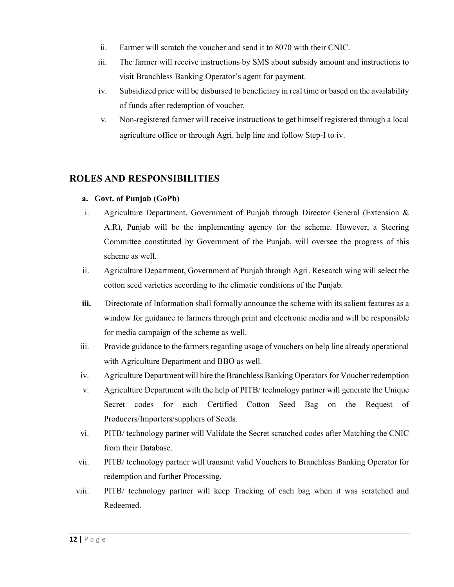- ii. Farmer will scratch the voucher and send it to 8070 with their CNIC.
- iii. The farmer will receive instructions by SMS about subsidy amount and instructions to visit Branchless Banking Operator's agent for payment.
- iv. Subsidized price will be disbursed to beneficiary in real time or based on the availability of funds after redemption of voucher.
- v. Non-registered farmer will receive instructions to get himself registered through a local agriculture office or through Agri. help line and follow Step-I to iv.

### **ROLES AND RESPONSIBILITIES**

#### **a. Govt. of Punjab (GoPb)**

- i. Agriculture Department, Government of Punjab through Director General (Extension & A.R), Punjab will be the implementing agency for the scheme. However, a Steering Committee constituted by Government of the Punjab, will oversee the progress of this scheme as well.
- ii. Agriculture Department, Government of Punjab through Agri. Research wing will select the cotton seed varieties according to the climatic conditions of the Punjab.
- **iii.** Directorate of Information shall formally announce the scheme with its salient features as a window for guidance to farmers through print and electronic media and will be responsible for media campaign of the scheme as well.
- iii. Provide guidance to the farmers regarding usage of vouchers on help line already operational with Agriculture Department and BBO as well.
- iv. Agriculture Department will hire the Branchless Banking Operators for Voucher redemption
- v. Agriculture Department with the help of PITB/ technology partner will generate the Unique Secret codes for each Certified Cotton Seed Bag on the Request of Producers/Importers/suppliers of Seeds.
- vi. PITB/ technology partner will Validate the Secret scratched codes after Matching the CNIC from their Database.
- vii. PITB/ technology partner will transmit valid Vouchers to Branchless Banking Operator for redemption and further Processing.
- viii. PITB/ technology partner will keep Tracking of each bag when it was scratched and Redeemed.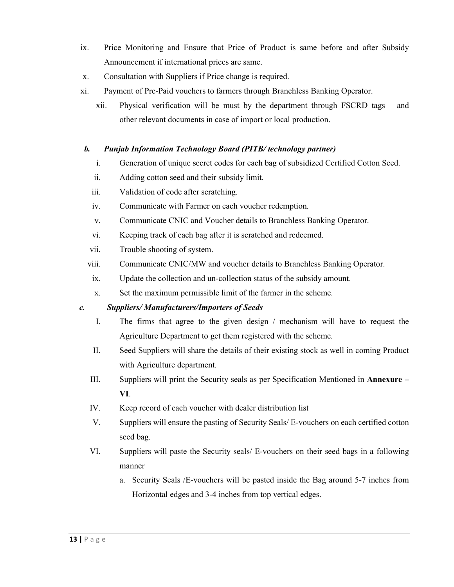- ix. Price Monitoring and Ensure that Price of Product is same before and after Subsidy Announcement if international prices are same.
- x. Consultation with Suppliers if Price change is required.
- xi. Payment of Pre-Paid vouchers to farmers through Branchless Banking Operator.
	- xii. Physical verification will be must by the department through FSCRD tags and other relevant documents in case of import or local production.

#### *b. Punjab Information Technology Board (PITB/ technology partner)*

- i. Generation of unique secret codes for each bag of subsidized Certified Cotton Seed.
- ii. Adding cotton seed and their subsidy limit.
- iii. Validation of code after scratching.
- iv. Communicate with Farmer on each voucher redemption.
- v. Communicate CNIC and Voucher details to Branchless Banking Operator.
- vi. Keeping track of each bag after it is scratched and redeemed.
- vii. Trouble shooting of system.
- viii. Communicate CNIC/MW and voucher details to Branchless Banking Operator.
- ix. Update the collection and un-collection status of the subsidy amount.
- x. Set the maximum permissible limit of the farmer in the scheme.

#### *c. Suppliers/ Manufacturers/Importers of Seeds*

- I. The firms that agree to the given design / mechanism will have to request the Agriculture Department to get them registered with the scheme.
- II. Seed Suppliers will share the details of their existing stock as well in coming Product with Agriculture department.
- III. Suppliers will print the Security seals as per Specification Mentioned in **Annexure – VI**.
- IV. Keep record of each voucher with dealer distribution list
- V. Suppliers will ensure the pasting of Security Seals/ E-vouchers on each certified cotton seed bag.
- VI. Suppliers will paste the Security seals/ E-vouchers on their seed bags in a following manner
	- a. Security Seals /E-vouchers will be pasted inside the Bag around 5-7 inches from Horizontal edges and 3-4 inches from top vertical edges.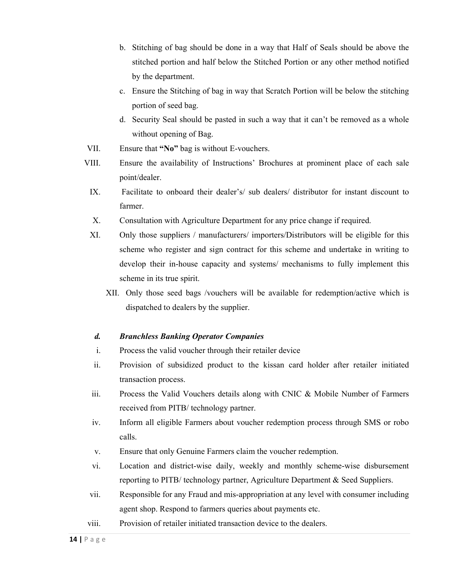- b. Stitching of bag should be done in a way that Half of Seals should be above the stitched portion and half below the Stitched Portion or any other method notified by the department.
- c. Ensure the Stitching of bag in way that Scratch Portion will be below the stitching portion of seed bag.
- d. Security Seal should be pasted in such a way that it can't be removed as a whole without opening of Bag.
- VII. Ensure that **"No"** bag is without E-vouchers.
- VIII. Ensure the availability of Instructions' Brochures at prominent place of each sale point/dealer.
- IX. Facilitate to onboard their dealer's/ sub dealers/ distributor for instant discount to farmer.
- X. Consultation with Agriculture Department for any price change if required.
- XI. Only those suppliers / manufacturers/ importers/Distributors will be eligible for this scheme who register and sign contract for this scheme and undertake in writing to develop their in-house capacity and systems/ mechanisms to fully implement this scheme in its true spirit.
	- XII. Only those seed bags /vouchers will be available for redemption/active which is dispatched to dealers by the supplier.

#### *d. Branchless Banking Operator Companies*

- i. Process the valid voucher through their retailer device
- ii. Provision of subsidized product to the kissan card holder after retailer initiated transaction process.
- iii. Process the Valid Vouchers details along with CNIC & Mobile Number of Farmers received from PITB/ technology partner.
- iv. Inform all eligible Farmers about voucher redemption process through SMS or robo calls.
- v. Ensure that only Genuine Farmers claim the voucher redemption.
- vi. Location and district-wise daily, weekly and monthly scheme-wise disbursement reporting to PITB/ technology partner, Agriculture Department & Seed Suppliers.
- vii. Responsible for any Fraud and mis-appropriation at any level with consumer including agent shop. Respond to farmers queries about payments etc.
- viii. Provision of retailer initiated transaction device to the dealers.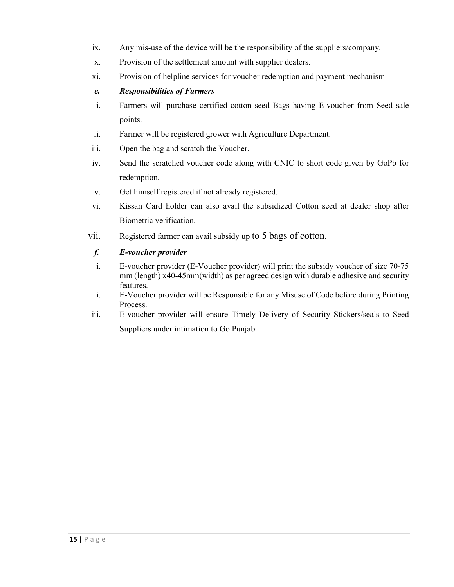- ix. Any mis-use of the device will be the responsibility of the suppliers/company.
- x. Provision of the settlement amount with supplier dealers.
- xi. Provision of helpline services for voucher redemption and payment mechanism

#### *e. Responsibilities of Farmers*

- i. Farmers will purchase certified cotton seed Bags having E-voucher from Seed sale points.
- ii. Farmer will be registered grower with Agriculture Department.
- iii. Open the bag and scratch the Voucher.
- iv. Send the scratched voucher code along with CNIC to short code given by GoPb for redemption.
- v. Get himself registered if not already registered.
- vi. Kissan Card holder can also avail the subsidized Cotton seed at dealer shop after Biometric verification.
- vii. Registered farmer can avail subsidy up to 5 bags of cotton.

#### *f. E-voucher provider*

- i. E-voucher provider (E-Voucher provider) will print the subsidy voucher of size 70-75 mm (length) x40-45mm(width) as per agreed design with durable adhesive and security features.
- ii. E-Voucher provider will be Responsible for any Misuse of Code before during Printing Process.
- iii. E-voucher provider will ensure Timely Delivery of Security Stickers/seals to Seed Suppliers under intimation to Go Punjab.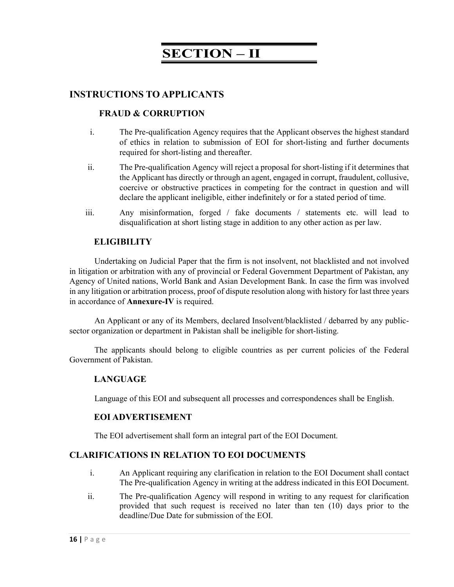## **SECTION – II**

#### **INSTRUCTIONS TO APPLICANTS**

#### **FRAUD & CORRUPTION**

- i. The Pre-qualification Agency requires that the Applicant observes the highest standard of ethics in relation to submission of EOI for short-listing and further documents required for short-listing and thereafter.
- ii. The Pre-qualification Agency will reject a proposal for short-listing if it determines that the Applicant has directly or through an agent, engaged in corrupt, fraudulent, collusive, coercive or obstructive practices in competing for the contract in question and will declare the applicant ineligible, either indefinitely or for a stated period of time.
- iii. Any misinformation, forged / fake documents / statements etc. will lead to disqualification at short listing stage in addition to any other action as per law.

#### **ELIGIBILITY**

Undertaking on Judicial Paper that the firm is not insolvent, not blacklisted and not involved in litigation or arbitration with any of provincial or Federal Government Department of Pakistan, any Agency of United nations, World Bank and Asian Development Bank. In case the firm was involved in any litigation or arbitration process, proof of dispute resolution along with history for last three years in accordance of **Annexure-IV** is required.

An Applicant or any of its Members, declared Insolvent/blacklisted / debarred by any publicsector organization or department in Pakistan shall be ineligible for short-listing.

The applicants should belong to eligible countries as per current policies of the Federal Government of Pakistan.

#### **LANGUAGE**

Language of this EOI and subsequent all processes and correspondences shall be English.

#### **EOI ADVERTISEMENT**

The EOI advertisement shall form an integral part of the EOI Document.

#### **CLARIFICATIONS IN RELATION TO EOI DOCUMENTS**

- i. An Applicant requiring any clarification in relation to the EOI Document shall contact The Pre-qualification Agency in writing at the address indicated in this EOI Document.
- ii. The Pre-qualification Agency will respond in writing to any request for clarification provided that such request is received no later than ten (10) days prior to the deadline/Due Date for submission of the EOI.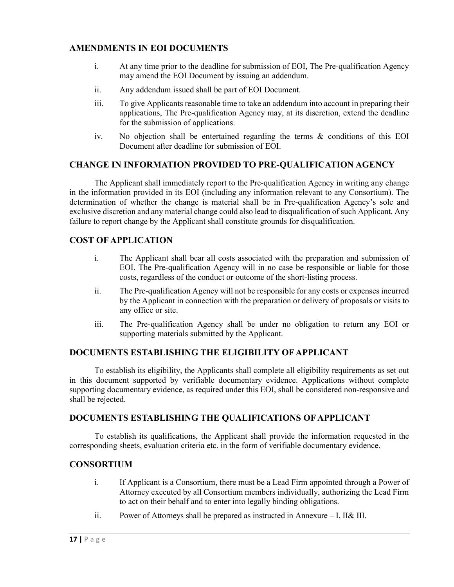#### **AMENDMENTS IN EOI DOCUMENTS**

- i. At any time prior to the deadline for submission of EOI, The Pre-qualification Agency may amend the EOI Document by issuing an addendum.
- ii. Any addendum issued shall be part of EOI Document.
- iii. To give Applicants reasonable time to take an addendum into account in preparing their applications, The Pre-qualification Agency may, at its discretion, extend the deadline for the submission of applications.
- iv. No objection shall be entertained regarding the terms & conditions of this EOI Document after deadline for submission of EOI.

#### **CHANGE IN INFORMATION PROVIDED TO PRE-QUALIFICATION AGENCY**

The Applicant shall immediately report to the Pre-qualification Agency in writing any change in the information provided in its EOI (including any information relevant to any Consortium). The determination of whether the change is material shall be in Pre-qualification Agency's sole and exclusive discretion and any material change could also lead to disqualification of such Applicant. Any failure to report change by the Applicant shall constitute grounds for disqualification.

#### **COST OF APPLICATION**

- i. The Applicant shall bear all costs associated with the preparation and submission of EOI. The Pre-qualification Agency will in no case be responsible or liable for those costs, regardless of the conduct or outcome of the short-listing process.
- ii. The Pre-qualification Agency will not be responsible for any costs or expenses incurred by the Applicant in connection with the preparation or delivery of proposals or visits to any office or site.
- iii. The Pre-qualification Agency shall be under no obligation to return any EOI or supporting materials submitted by the Applicant.

#### **DOCUMENTS ESTABLISHING THE ELIGIBILITY OF APPLICANT**

To establish its eligibility, the Applicants shall complete all eligibility requirements as set out in this document supported by verifiable documentary evidence. Applications without complete supporting documentary evidence, as required under this EOI, shall be considered non-responsive and shall be rejected.

#### **DOCUMENTS ESTABLISHING THE QUALIFICATIONS OF APPLICANT**

To establish its qualifications, the Applicant shall provide the information requested in the corresponding sheets, evaluation criteria etc. in the form of verifiable documentary evidence.

#### **CONSORTIUM**

- i. If Applicant is a Consortium, there must be a Lead Firm appointed through a Power of Attorney executed by all Consortium members individually, authorizing the Lead Firm to act on their behalf and to enter into legally binding obligations.
- ii. Power of Attorneys shall be prepared as instructed in Annexure I, II& III.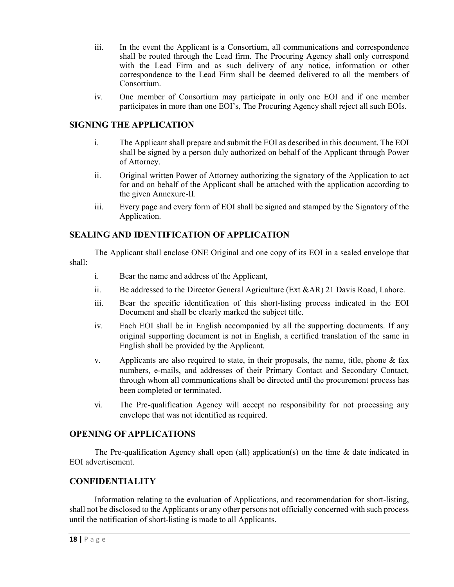- iii. In the event the Applicant is a Consortium, all communications and correspondence shall be routed through the Lead firm. The Procuring Agency shall only correspond with the Lead Firm and as such delivery of any notice, information or other correspondence to the Lead Firm shall be deemed delivered to all the members of Consortium.
- iv. One member of Consortium may participate in only one EOI and if one member participates in more than one EOI's, The Procuring Agency shall reject all such EOIs.

#### **SIGNING THE APPLICATION**

- i. The Applicant shall prepare and submit the EOI as described in this document. The EOI shall be signed by a person duly authorized on behalf of the Applicant through Power of Attorney.
- ii. Original written Power of Attorney authorizing the signatory of the Application to act for and on behalf of the Applicant shall be attached with the application according to the given Annexure-II.
- iii. Every page and every form of EOI shall be signed and stamped by the Signatory of the Application.

#### **SEALING AND IDENTIFICATION OF APPLICATION**

The Applicant shall enclose ONE Original and one copy of its EOI in a sealed envelope that shall:

- i. Bear the name and address of the Applicant,
- ii. Be addressed to the Director General Agriculture (Ext &AR) 21 Davis Road, Lahore.
- iii. Bear the specific identification of this short-listing process indicated in the EOI Document and shall be clearly marked the subject title.
- iv. Each EOI shall be in English accompanied by all the supporting documents. If any original supporting document is not in English, a certified translation of the same in English shall be provided by the Applicant.
- v. Applicants are also required to state, in their proposals, the name, title, phone  $\&$  fax numbers, e-mails, and addresses of their Primary Contact and Secondary Contact, through whom all communications shall be directed until the procurement process has been completed or terminated.
- vi. The Pre-qualification Agency will accept no responsibility for not processing any envelope that was not identified as required.

#### **OPENING OF APPLICATIONS**

The Pre-qualification Agency shall open (all) application(s) on the time  $\&$  date indicated in EOI advertisement.

#### **CONFIDENTIALITY**

Information relating to the evaluation of Applications, and recommendation for short-listing, shall not be disclosed to the Applicants or any other persons not officially concerned with such process until the notification of short-listing is made to all Applicants.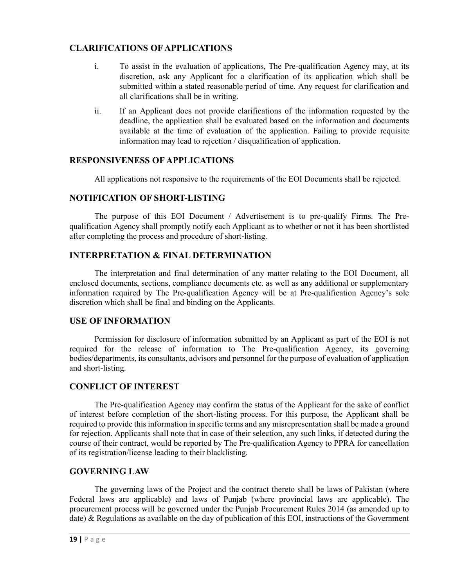#### **CLARIFICATIONS OF APPLICATIONS**

- i. To assist in the evaluation of applications, The Pre-qualification Agency may, at its discretion, ask any Applicant for a clarification of its application which shall be submitted within a stated reasonable period of time. Any request for clarification and all clarifications shall be in writing.
- ii. If an Applicant does not provide clarifications of the information requested by the deadline, the application shall be evaluated based on the information and documents available at the time of evaluation of the application. Failing to provide requisite information may lead to rejection / disqualification of application.

#### **RESPONSIVENESS OF APPLICATIONS**

All applications not responsive to the requirements of the EOI Documents shall be rejected.

#### **NOTIFICATION OF SHORT-LISTING**

The purpose of this EOI Document / Advertisement is to pre-qualify Firms. The Prequalification Agency shall promptly notify each Applicant as to whether or not it has been shortlisted after completing the process and procedure of short-listing.

#### **INTERPRETATION & FINAL DETERMINATION**

The interpretation and final determination of any matter relating to the EOI Document, all enclosed documents, sections, compliance documents etc. as well as any additional or supplementary information required by The Pre-qualification Agency will be at Pre-qualification Agency's sole discretion which shall be final and binding on the Applicants.

#### **USE OF INFORMATION**

Permission for disclosure of information submitted by an Applicant as part of the EOI is not required for the release of information to The Pre-qualification Agency, its governing bodies/departments, its consultants, advisors and personnel for the purpose of evaluation of application and short-listing.

#### **CONFLICT OF INTEREST**

The Pre-qualification Agency may confirm the status of the Applicant for the sake of conflict of interest before completion of the short-listing process. For this purpose, the Applicant shall be required to provide this information in specific terms and any misrepresentation shall be made a ground for rejection. Applicants shall note that in case of their selection, any such links, if detected during the course of their contract, would be reported by The Pre-qualification Agency to PPRA for cancellation of its registration/license leading to their blacklisting.

#### **GOVERNING LAW**

The governing laws of the Project and the contract thereto shall be laws of Pakistan (where Federal laws are applicable) and laws of Punjab (where provincial laws are applicable). The procurement process will be governed under the Punjab Procurement Rules 2014 (as amended up to date) & Regulations as available on the day of publication of this EOI, instructions of the Government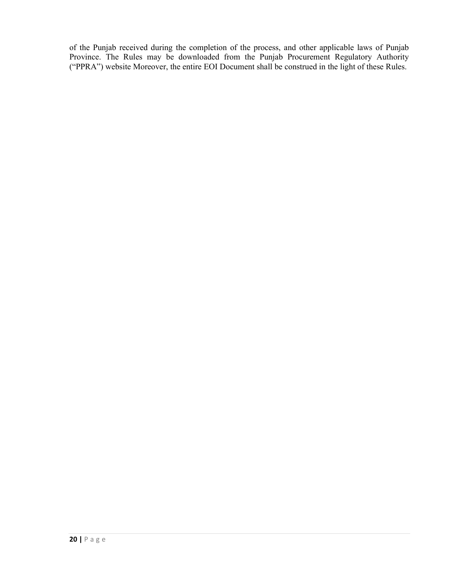of the Punjab received during the completion of the process, and other applicable laws of Punjab Province. The Rules may be downloaded from the Punjab Procurement Regulatory Authority ("PPRA") website Moreover, the entire EOI Document shall be construed in the light of these Rules.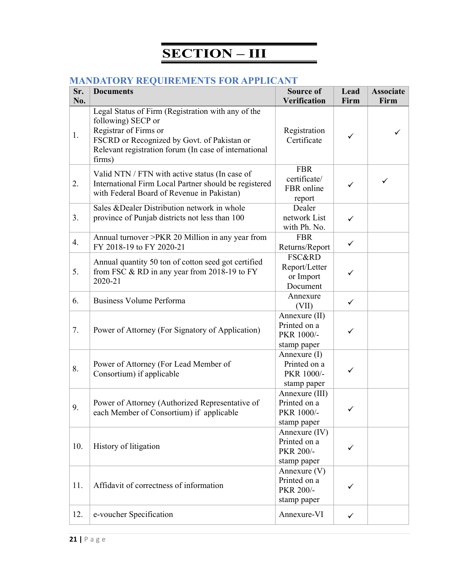# **SECTION – III**

### **MANDATORY REQUIREMENTS FOR APPLICANT**

| Sr.<br>No. | <b>Documents</b>                                                                                                                                                                                                    | <b>Source of</b><br>Verification                            | Lead<br>Firm | <b>Associate</b><br>Firm |
|------------|---------------------------------------------------------------------------------------------------------------------------------------------------------------------------------------------------------------------|-------------------------------------------------------------|--------------|--------------------------|
| 1.         | Legal Status of Firm (Registration with any of the<br>following) SECP or<br>Registrar of Firms or<br>FSCRD or Recognized by Govt. of Pakistan or<br>Relevant registration forum (In case of international<br>firms) | Registration<br>Certificate                                 | ✓            | ✓                        |
| 2.         | Valid NTN / FTN with active status (In case of<br>International Firm Local Partner should be registered<br>with Federal Board of Revenue in Pakistan)                                                               | <b>FBR</b><br>certificate/<br>FBR online<br>report          | ✓            | $\checkmark$             |
| 3.         | Sales & Dealer Distribution network in whole<br>province of Punjab districts not less than 100                                                                                                                      | Dealer<br>network List<br>with Ph. No.                      | ✓            |                          |
| 4.         | Annual turnover >PKR 20 Million in any year from<br>FY 2018-19 to FY 2020-21                                                                                                                                        | <b>FBR</b><br>Returns/Report                                | $\checkmark$ |                          |
| 5.         | Annual quantity 50 ton of cotton seed got certified<br>from FSC $\&$ RD in any year from 2018-19 to FY<br>2020-21                                                                                                   | <b>FSC&amp;RD</b><br>Report/Letter<br>or Import<br>Document | ✓            |                          |
| 6.         | <b>Business Volume Performa</b>                                                                                                                                                                                     | Annexure<br>(VII)                                           | $\checkmark$ |                          |
| 7.         | Power of Attorney (For Signatory of Application)                                                                                                                                                                    | Annexure (II)<br>Printed on a<br>PKR 1000/-<br>stamp paper  | ✓            |                          |
| 8.         | Power of Attorney (For Lead Member of<br>Consortium) if applicable                                                                                                                                                  | Annexure (I)<br>Printed on a<br>PKR 1000/-<br>stamp paper   |              |                          |
| 9.         | Power of Attorney (Authorized Representative of<br>each Member of Consortium) if applicable                                                                                                                         | Annexure (III)<br>Printed on a<br>PKR 1000/-<br>stamp paper | ✓            |                          |
| 10.        | History of litigation                                                                                                                                                                                               | Annexure (IV)<br>Printed on a<br>PKR 200/-<br>stamp paper   | ✓            |                          |
| 11.        | Affidavit of correctness of information                                                                                                                                                                             | Annexure (V)<br>Printed on a<br>PKR 200/-<br>stamp paper    | ✓            |                          |
| 12.        | e-voucher Specification                                                                                                                                                                                             | Annexure-VI                                                 | $\checkmark$ |                          |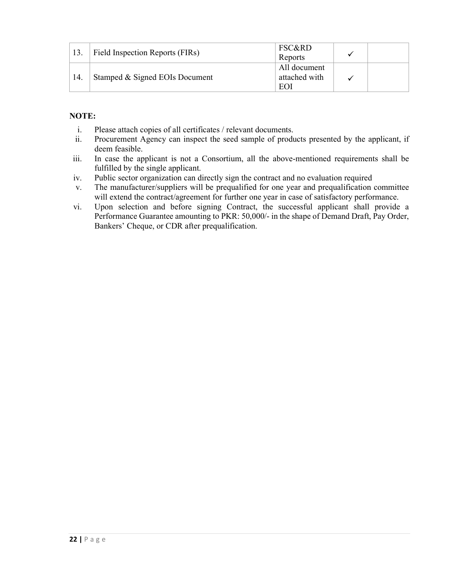|     | Field Inspection Reports (FIRs) | <b>FSC&amp;RD</b><br>Reports         |  |
|-----|---------------------------------|--------------------------------------|--|
| 14. | Stamped & Signed EOIs Document  | All document<br>attached with<br>EOI |  |

#### **NOTE:**

- i. Please attach copies of all certificates / relevant documents.
- ii. Procurement Agency can inspect the seed sample of products presented by the applicant, if deem feasible.
- iii. In case the applicant is not a Consortium, all the above-mentioned requirements shall be fulfilled by the single applicant.
- iv. Public sector organization can directly sign the contract and no evaluation required
- v. The manufacturer/suppliers will be prequalified for one year and prequalification committee will extend the contract/agreement for further one year in case of satisfactory performance.
- vi. Upon selection and before signing Contract, the successful applicant shall provide a Performance Guarantee amounting to PKR: 50,000/- in the shape of Demand Draft, Pay Order, Bankers' Cheque, or CDR after prequalification.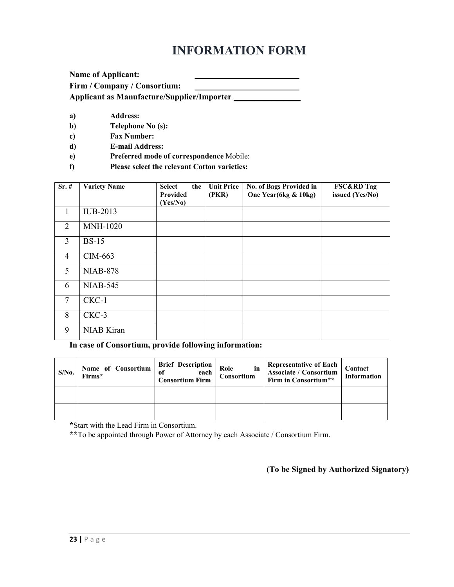## **INFORMATION FORM**

| <b>Name of Applicant:</b>                         |  |
|---------------------------------------------------|--|
| Firm / Company / Consortium:                      |  |
| <b>Applicant as Manufacture/Supplier/Importer</b> |  |

- **a) Address:**
- **b) Telephone No (s):**
- **c) Fax Number:**
- **d) E-mail Address:**
- **e) Preferred mode of correspondence** Mobile:
- **f) Please select the relevant Cotton varieties:**

| $Sr.$ #        | <b>Variety Name</b> | <b>Select</b><br>the<br>Provided<br>(Yes/No) | <b>Unit Price</b><br>(PKR) | No. of Bags Provided in<br>One Year(6kg & 10kg) | <b>FSC&amp;RD Tag</b><br>issued (Yes/No) |
|----------------|---------------------|----------------------------------------------|----------------------------|-------------------------------------------------|------------------------------------------|
| 1              | IUB-2013            |                                              |                            |                                                 |                                          |
| 2              | <b>MNH-1020</b>     |                                              |                            |                                                 |                                          |
| 3              | <b>BS-15</b>        |                                              |                            |                                                 |                                          |
| $\overline{4}$ | CIM-663             |                                              |                            |                                                 |                                          |
| 5              | <b>NIAB-878</b>     |                                              |                            |                                                 |                                          |
| 6              | <b>NIAB-545</b>     |                                              |                            |                                                 |                                          |
| $\overline{7}$ | CKC-1               |                                              |                            |                                                 |                                          |
| 8              | CKC-3               |                                              |                            |                                                 |                                          |
| 9              | NIAB Kiran          |                                              |                            |                                                 |                                          |

**In case of Consortium, provide following information:** 

| $S/N0$ . | Name of Consortium<br>Firms* | <b>Brief Description</b><br>each<br><b>Consortium Firm</b> | in<br>Role<br>Consortium | Representative of Each<br>Associate / Consortium<br>Firm in Consortium** | Contact<br><b>Information</b> |
|----------|------------------------------|------------------------------------------------------------|--------------------------|--------------------------------------------------------------------------|-------------------------------|
|          |                              |                                                            |                          |                                                                          |                               |
|          |                              |                                                            |                          |                                                                          |                               |

**\***Start with the Lead Firm in Consortium.

**\*\***To be appointed through Power of Attorney by each Associate / Consortium Firm.

**(To be Signed by Authorized Signatory)**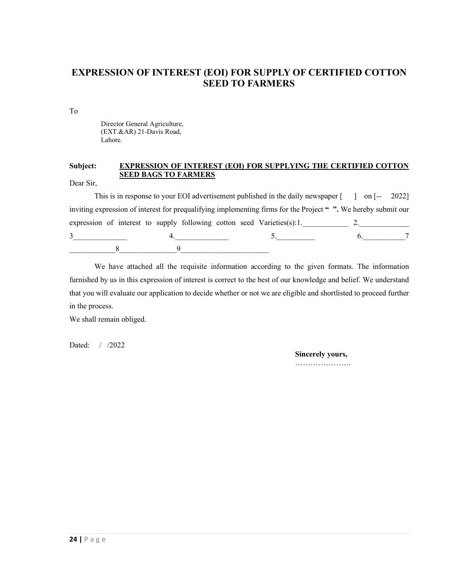### **EXPRESSION OF INTEREST (EOI) FOR SUPPLY OF CERTIFIED COTTON SEED TO FARMERS**

To

Director General Agriculture, (EXT.&AR) 21-Davis Road, Lahore.

#### **Subject: EXPRESSION OF INTEREST (EOI) FOR SUPPLYING THE CERTIFIED COTTON SEED BAGS TO FARMERS**

Dear Sir,

This is in response to your EOI advertisement published in the daily newspaper [ ] on [-- 2022] inviting expression of interest for prequalifying implementing firms for the Project **" ".** We hereby submit our expression of interest to supply following cotton seed Varieties(s):1.\_\_\_\_\_\_\_\_\_\_\_\_\_ 2.\_\_\_\_\_\_\_\_\_\_\_\_\_  $3$   $4$   $4$   $5$   $5$   $6$   $7$  $8$  9

We have attached all the requisite information according to the given formats. The information furnished by us in this expression of interest is correct to the best of our knowledge and belief. We understand that you will evaluate our application to decide whether or not we are eligible and shortlisted to proceed further in the process.

We shall remain obliged.

Dated: / /2022

#### **Sincerely yours,**

………………….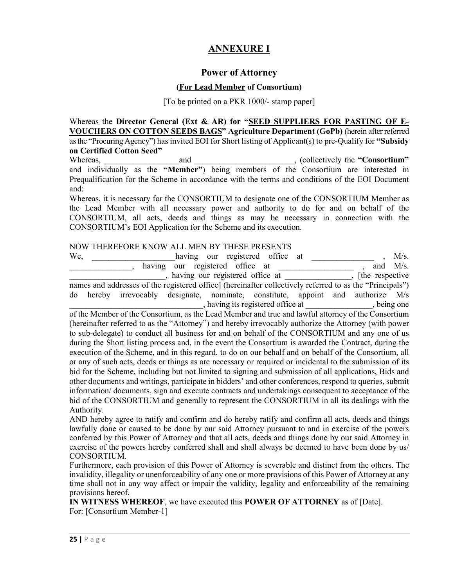#### **ANNEXURE I**

#### **Power of Attorney**

#### **(For Lead Member of Consortium)**

[To be printed on a PKR 1000/- stamp paper]

Whereas the **Director General (Ext & AR) for "SEED SUPPLIERS FOR PASTING OF E-VOUCHERS ON COTTON SEEDS BAGS" Agriculture Department (GoPb)** (herein after referred as the "Procuring Agency") has invited EOI for Short listing of Applicant(s) to pre-Qualify for **"Subsidy on Certified Cotton Seed"**

Whereas, 2003, 2008, 2008, 2008, 2008, 2008, 2008, 2008, 2008, 2008, 2008, 2008, 2008, 2008, 2008, 2008, 2008, 2008, 2008, 2008, 2008, 2008, 2008, 2008, 2008, 2008, 2008, 2008, 2008, 2008, 2008, 2008, 2008, 2008, 2008, 200 and individually as the **"Member"**) being members of the Consortium are interested in Prequalification for the Scheme in accordance with the terms and conditions of the EOI Document and:

Whereas, it is necessary for the CONSORTIUM to designate one of the CONSORTIUM Member as the Lead Member with all necessary power and authority to do for and on behalf of the CONSORTIUM, all acts, deeds and things as may be necessary in connection with the CONSORTIUM's EOI Application for the Scheme and its execution.

#### NOW THEREFORE KNOW ALL MEN BY THESE PRESENTS

| We,<br>having our registered office at                                                                   |                  | $M/s$ .     |
|----------------------------------------------------------------------------------------------------------|------------------|-------------|
| having our registered office at                                                                          |                  | and $M/s$ . |
| , having our registered office at                                                                        | [the respective] |             |
| names and addresses of the registered office] (hereinafter collectively referred to as the "Principals") |                  |             |
| hereby irrevocably designate, nominate, constitute, appoint and authorize M/s<br>do                      |                  |             |
| having its registered office at ______________, being one                                                |                  |             |
| of the Member of the Consortium, as the Lead Member and true and lawful attorney of the Consortium       |                  |             |
| (hereinafter referred to as the "Attorney") and hereby irrevocably authorize the Attorney (with power    |                  |             |
| to sub-delegate) to conduct all business for and on behalf of the CONSORTIUM and any one of us           |                  |             |
| during the Short listing process and, in the event the Consortium is awarded the Contract, during the    |                  |             |
| execution of the Scheme, and in this regard, to do on our behalf and on behalf of the Consortium, all    |                  |             |
| or any of such acts, deeds or things as are necessary or required or incidental to the submission of its |                  |             |
| bid for the Scheme, including but not limited to signing and submission of all applications, Bids and    |                  |             |
| other documents and writings, participate in bidders' and other conferences, respond to queries, submit  |                  |             |
| information/documents, sign and execute contracts and undertakings consequent to acceptance of the       |                  |             |
| bid of the CONSORTIUM and generally to represent the CONSORTIUM in all its dealings with the             |                  |             |
| Authority.                                                                                               |                  |             |
| AND hereby agree to ratify and confirm and do hereby ratify and confirm all acts, deeds and things       |                  |             |

by agree to ratify and confirm and do hereby ratify and confident lawfully done or caused to be done by our said Attorney pursuant to and in exercise of the powers conferred by this Power of Attorney and that all acts, deeds and things done by our said Attorney in exercise of the powers hereby conferred shall and shall always be deemed to have been done by us/ CONSORTIUM.

Furthermore, each provision of this Power of Attorney is severable and distinct from the others. The invalidity, illegality or unenforceability of any one or more provisions of this Power of Attorney at any time shall not in any way affect or impair the validity, legality and enforceability of the remaining provisions hereof.

**IN WITNESS WHEREOF**, we have executed this **POWER OF ATTORNEY** as of [Date]. For: [Consortium Member-1]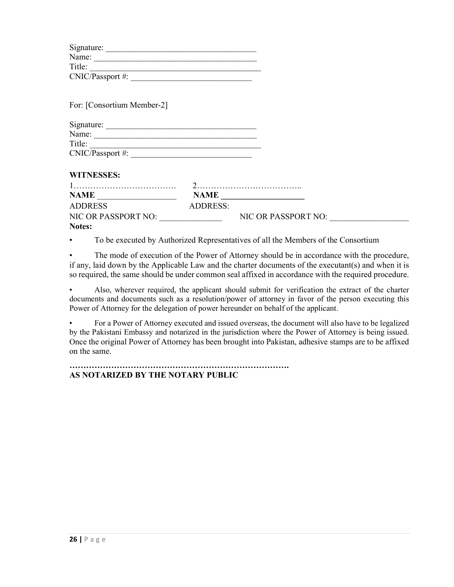| Title:                                   |                 |                     |  |
|------------------------------------------|-----------------|---------------------|--|
|                                          |                 |                     |  |
|                                          |                 |                     |  |
| For: [Consortium Member-2]               |                 |                     |  |
| Signature:                               |                 |                     |  |
|                                          |                 |                     |  |
|                                          |                 |                     |  |
| $CNIC/Passport \#:$                      |                 |                     |  |
| <b>WITNESSES:</b>                        |                 |                     |  |
|                                          |                 |                     |  |
| $\mathbf{NAME} \underline{\hspace{1cm}}$ |                 | <b>NAME</b>         |  |
| <b>ADDRESS</b>                           | <b>ADDRESS:</b> |                     |  |
| NIC OR PASSPORT NO:                      |                 | NIC OR PASSPORT NO: |  |
| Notes:                                   |                 |                     |  |

• To be executed by Authorized Representatives of all the Members of the Consortium

The mode of execution of the Power of Attorney should be in accordance with the procedure, if any, laid down by the Applicable Law and the charter documents of the executant(s) and when it is so required, the same should be under common seal affixed in accordance with the required procedure.

• Also, wherever required, the applicant should submit for verification the extract of the charter documents and documents such as a resolution/power of attorney in favor of the person executing this Power of Attorney for the delegation of power hereunder on behalf of the applicant.

• For a Power of Attorney executed and issued overseas, the document will also have to be legalized by the Pakistani Embassy and notarized in the jurisdiction where the Power of Attorney is being issued. Once the original Power of Attorney has been brought into Pakistan, adhesive stamps are to be affixed on the same.

**……………………………………………………………………. AS NOTARIZED BY THE NOTARY PUBLIC**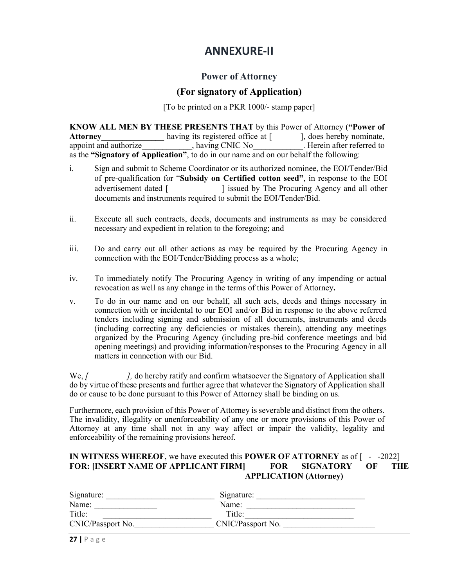## **ANNEXURE-II**

#### **Power of Attorney**

#### **(For signatory of Application)**

[To be printed on a PKR 1000/- stamp paper]

**KNOW ALL MEN BY THESE PRESENTS THAT** by this Power of Attorney ("Power of **Attorney** having its registered office at  $\begin{bmatrix} \cdot & \cdot & \cdot \\ \cdot & \cdot & \cdot \\ \cdot & \cdot & \cdot \end{bmatrix}$ , does hereby nominate, Attorney<br>
appoint and authorize having its registered office at [ ], does hereby nominate,<br>
having CNIC No<br>
Herein after referred to appoint and authorize\_\_\_\_\_\_\_\_\_\_\_, having CNIC No\_\_\_\_\_\_\_\_\_\_. Herein after referred to as the **"Signatory of Application"**, to do in our name and on our behalf the following:

- i. Sign and submit to Scheme Coordinator or its authorized nominee, the EOI/Tender/Bid of pre-qualification for "**Subsidy on Certified cotton seed"**, in response to the EOI advertisement dated [ ] issued by The Procuring Agency and all other documents and instruments required to submit the EOI/Tender/Bid.
- ii. Execute all such contracts, deeds, documents and instruments as may be considered necessary and expedient in relation to the foregoing; and
- iii. Do and carry out all other actions as may be required by the Procuring Agency in connection with the EOI/Tender/Bidding process as a whole;
- iv. To immediately notify The Procuring Agency in writing of any impending or actual revocation as well as any change in the terms of this Power of Attorney**.**
- v. To do in our name and on our behalf, all such acts, deeds and things necessary in connection with or incidental to our EOI and/or Bid in response to the above referred tenders including signing and submission of all documents, instruments and deeds (including correcting any deficiencies or mistakes therein), attending any meetings organized by the Procuring Agency (including pre-bid conference meetings and bid opening meetings) and providing information/responses to the Procuring Agency in all matters in connection with our Bid.

We,  $\ell$  *[, do hereby ratify and confirm whatsoever the Signatory of Application shall* do by virtue of these presents and further agree that whatever the Signatory of Application shall do or cause to be done pursuant to this Power of Attorney shall be binding on us.

Furthermore, each provision of this Power of Attorney is severable and distinct from the others. The invalidity, illegality or unenforceability of any one or more provisions of this Power of Attorney at any time shall not in any way affect or impair the validity, legality and enforceability of the remaining provisions hereof.

#### **IN WITNESS WHEREOF**, we have executed this **POWER OF ATTORNEY** as of [ - -2022] **FOR: [INSERT NAME OF APPLICANT FIRM] FOR SIGNATORY OF THE APPLICATION (Attorney)**

| Signature:        | Signature:        |  |
|-------------------|-------------------|--|
| Name:             | Name:             |  |
| Title:            | Title:            |  |
| CNIC/Passport No. | CNIC/Passport No. |  |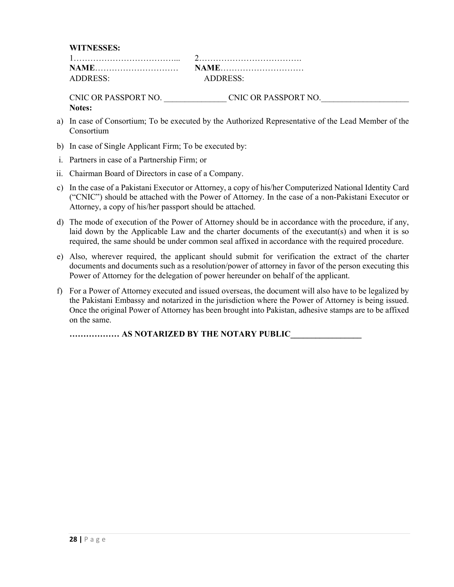**WITNESSES:**

| ADDRESS: | ADDRESS |
|----------|---------|

CNIC OR PASSPORT NO. \_\_\_\_\_\_\_\_\_\_\_\_\_\_\_ CNIC OR PASSPORT NO.\_\_\_\_\_\_\_\_\_\_\_\_\_\_\_\_\_\_\_\_\_ **Notes:** 

- a) In case of Consortium; To be executed by the Authorized Representative of the Lead Member of the Consortium
- b) In case of Single Applicant Firm; To be executed by:
- i. Partners in case of a Partnership Firm; or
- ii. Chairman Board of Directors in case of a Company.
- c) In the case of a Pakistani Executor or Attorney, a copy of his/her Computerized National Identity Card ("CNIC") should be attached with the Power of Attorney. In the case of a non-Pakistani Executor or Attorney, a copy of his/her passport should be attached.
- d) The mode of execution of the Power of Attorney should be in accordance with the procedure, if any, laid down by the Applicable Law and the charter documents of the executant(s) and when it is so required, the same should be under common seal affixed in accordance with the required procedure.
- e) Also, wherever required, the applicant should submit for verification the extract of the charter documents and documents such as a resolution/power of attorney in favor of the person executing this Power of Attorney for the delegation of power hereunder on behalf of the applicant.
- f) For a Power of Attorney executed and issued overseas, the document will also have to be legalized by the Pakistani Embassy and notarized in the jurisdiction where the Power of Attorney is being issued. Once the original Power of Attorney has been brought into Pakistan, adhesive stamps are to be affixed on the same.

**……………… AS NOTARIZED BY THE NOTARY PUBLIC\_\_\_\_\_\_\_\_\_\_\_\_\_\_\_\_\_**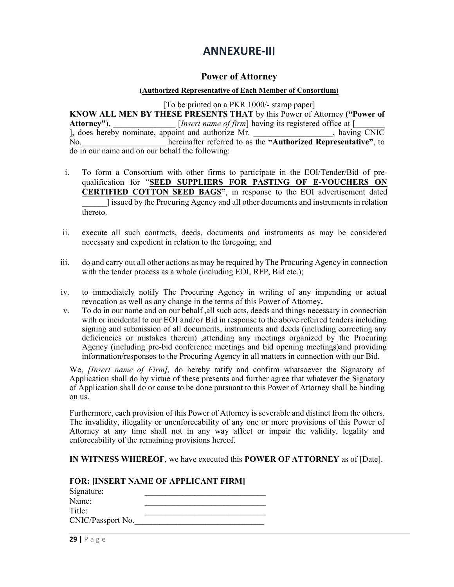## **ANNEXURE-III**

#### **Power of Attorney**

#### **(Authorized Representative of Each Member of Consortium)**

[To be printed on a PKR 1000/- stamp paper] **KNOW ALL MEN BY THESE PRESENTS THAT** by this Power of Attorney (**"Power of**  Attorney"), *Linsert name of firm* having its registered office at [<br>
], does hereby nominate, appoint and authorize Mr.  $\lambda$ , does hereby nominate, appoint and authorize Mr. No. **No.** hereinafter referred to as the "Authorized Representative", to do in our name and on our behalf the following:

- i. To form a Consortium with other firms to participate in the EOI/Tender/Bid of prequalification for "**SEED SUPPLIERS FOR PASTING OF E-VOUCHERS ON CERTIFIED COTTON SEED BAGS"**, in response to the EOI advertisement dated \_\_\_\_\_\_] issued by the Procuring Agency and all other documents and instruments in relation thereto.
- ii. execute all such contracts, deeds, documents and instruments as may be considered necessary and expedient in relation to the foregoing; and
- iii. do and carry out all other actions as may be required by The Procuring Agency in connection with the tender process as a whole (including EOI, RFP, Bid etc.);
- iv. to immediately notify The Procuring Agency in writing of any impending or actual revocation as well as any change in the terms of this Power of Attorney**.**
- v. To do in our name and on our behalf ,all such acts, deeds and things necessary in connection with or incidental to our EOI and/or Bid in response to the above referred tenders including signing and submission of all documents, instruments and deeds (including correcting any deficiencies or mistakes therein) ,attending any meetings organized by the Procuring Agency (including pre-bid conference meetings and bid opening meetings)and providing information/responses to the Procuring Agency in all matters in connection with our Bid.

We, *[Insert name of Firm],* do hereby ratify and confirm whatsoever the Signatory of Application shall do by virtue of these presents and further agree that whatever the Signatory of Application shall do or cause to be done pursuant to this Power of Attorney shall be binding on us.

Furthermore, each provision of this Power of Attorney is severable and distinct from the others. The invalidity, illegality or unenforceability of any one or more provisions of this Power of Attorney at any time shall not in any way affect or impair the validity, legality and enforceability of the remaining provisions hereof.

**IN WITNESS WHEREOF**, we have executed this **POWER OF ATTORNEY** as of [Date].

| <b>FOR: [INSERT NAME OF APPLICANT FIRM]</b> |  |  |  |  |  |
|---------------------------------------------|--|--|--|--|--|
| Signature:                                  |  |  |  |  |  |
| Name:                                       |  |  |  |  |  |
| Title:                                      |  |  |  |  |  |
| CNIC/Passport No.                           |  |  |  |  |  |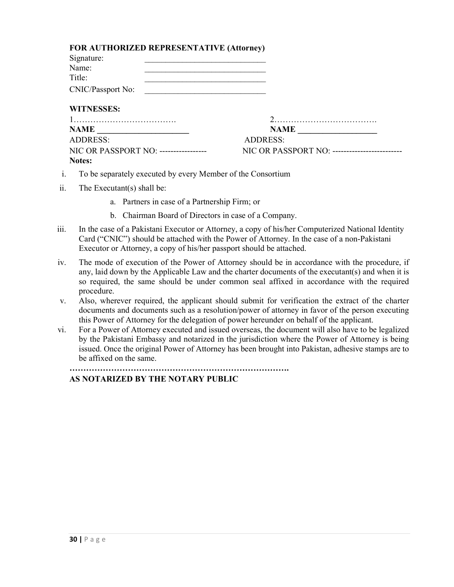|  | FOR AUTHORIZED REPRESENTATIVE (Attorney) |  |
|--|------------------------------------------|--|
|--|------------------------------------------|--|

| Signature:        |  |
|-------------------|--|
| Name:             |  |
| Title:            |  |
| CNIC/Passport No: |  |

#### **WITNESSES:**

| NAME                                  | <b>NAME</b>                                    |
|---------------------------------------|------------------------------------------------|
| ADDRESS:                              | ADDRESS:                                       |
| NIC OR PASSPORT NO: ----------------- | NIC OR PASSPORT NO: -------------------------- |
| Notes:                                |                                                |

- i. To be separately executed by every Member of the Consortium
- ii. The Executant(s) shall be:
	- a. Partners in case of a Partnership Firm; or
	- b. Chairman Board of Directors in case of a Company.
- iii. In the case of a Pakistani Executor or Attorney, a copy of his/her Computerized National Identity Card ("CNIC") should be attached with the Power of Attorney. In the case of a non-Pakistani Executor or Attorney, a copy of his/her passport should be attached.
- iv. The mode of execution of the Power of Attorney should be in accordance with the procedure, if any, laid down by the Applicable Law and the charter documents of the executant(s) and when it is so required, the same should be under common seal affixed in accordance with the required procedure.
- v. Also, wherever required, the applicant should submit for verification the extract of the charter documents and documents such as a resolution/power of attorney in favor of the person executing this Power of Attorney for the delegation of power hereunder on behalf of the applicant.
- vi. For a Power of Attorney executed and issued overseas, the document will also have to be legalized by the Pakistani Embassy and notarized in the jurisdiction where the Power of Attorney is being issued. Once the original Power of Attorney has been brought into Pakistan, adhesive stamps are to be affixed on the same.

**…………………………………………………………………….**

#### **AS NOTARIZED BY THE NOTARY PUBLIC**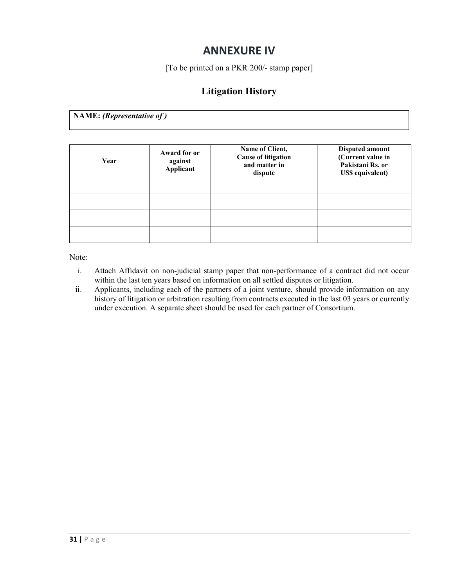## **ANNEXURE IV**

[To be printed on a PKR 200/- stamp paper]

### **Litigation History**

**NAME:** *(Representative of )*

| Year | Award for or<br>against<br>Applicant | Name of Client,<br><b>Cause of litigation</b><br>and matter in<br>dispute | <b>Disputed amount</b><br>(Current value in<br>Pakistani Rs. or<br><b>US\$</b> equivalent) |
|------|--------------------------------------|---------------------------------------------------------------------------|--------------------------------------------------------------------------------------------|
|      |                                      |                                                                           |                                                                                            |
|      |                                      |                                                                           |                                                                                            |
|      |                                      |                                                                           |                                                                                            |
|      |                                      |                                                                           |                                                                                            |

Note:

- i. Attach Affidavit on non-judicial stamp paper that non-performance of a contract did not occur within the last ten years based on information on all settled disputes or litigation.
- ii. Applicants, including each of the partners of a joint venture, should provide information on any history of litigation or arbitration resulting from contracts executed in the last 03 years or currently under execution. A separate sheet should be used for each partner of Consortium.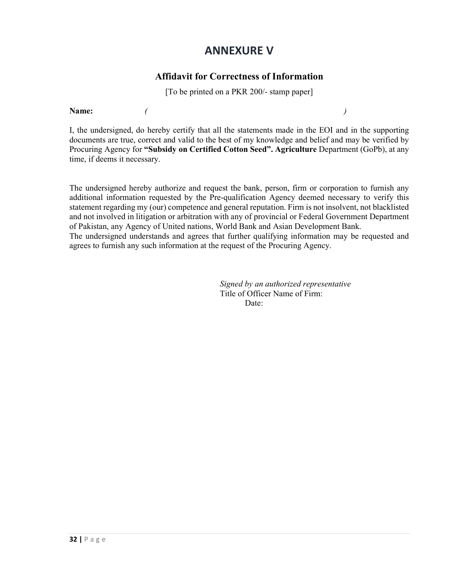## **ANNEXURE V**

#### **Affidavit for Correctness of Information**

[To be printed on a PKR 200/- stamp paper]

**Name:** *( )*

I, the undersigned, do hereby certify that all the statements made in the EOI and in the supporting documents are true, correct and valid to the best of my knowledge and belief and may be verified by Procuring Agency for **"Subsidy on Certified Cotton Seed". Agriculture** Department (GoPb), at any time, if deems it necessary.

The undersigned hereby authorize and request the bank, person, firm or corporation to furnish any additional information requested by the Pre-qualification Agency deemed necessary to verify this statement regarding my (our) competence and general reputation. Firm is not insolvent, not blacklisted and not involved in litigation or arbitration with any of provincial or Federal Government Department of Pakistan, any Agency of United nations, World Bank and Asian Development Bank. The undersigned understands and agrees that further qualifying information may be requested and agrees to furnish any such information at the request of the Procuring Agency.

> *Signed by an authorized representative*  Title of Officer Name of Firm: Date: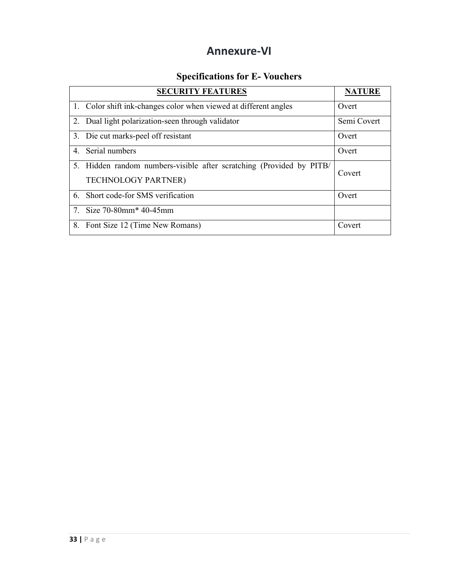## **Annexure-VI**

## **Specifications for E- Vouchers**

|   | <b>SECURITY FEATURES</b>                                             | <b>NATURE</b> |
|---|----------------------------------------------------------------------|---------------|
|   | 1. Color shift ink-changes color when viewed at different angles     | Overt         |
|   | 2. Dual light polarization-seen through validator                    | Semi Covert   |
|   | 3. Die cut marks-peel off resistant                                  | Overt         |
| 4 | Serial numbers                                                       | Overt         |
|   | 5. Hidden random numbers-visible after scratching (Provided by PITB/ | Covert        |
|   | <b>TECHNOLOGY PARTNER)</b>                                           |               |
| 6 | Short code-for SMS verification                                      | Overt         |
|   | 7. Size $70-80$ mm <sup>*</sup> 40-45mm                              |               |
|   | 8. Font Size 12 (Time New Romans)                                    | Covert        |